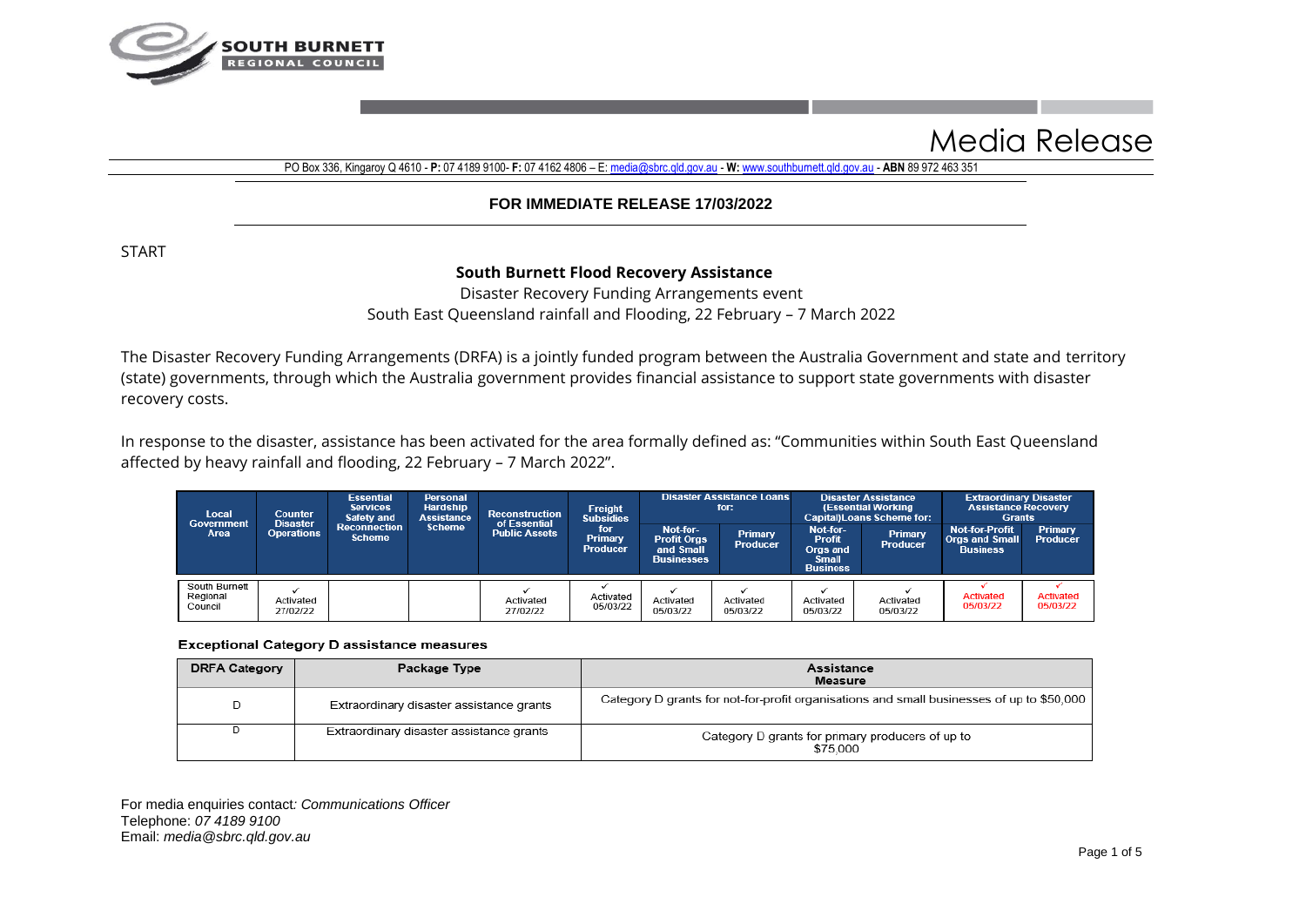

# Media Release

PO Box 336, Kingaroy Q 4610 - **P:** 07 4189 9100- **F:** 07 4162 4806 – E[: media@sbrc.qld.gov.au](mailto:media@sbrc.qld.gov.au) - **W:** [www.southburnett.qld.gov.au](http://www.southburnett.qld.gov.au/) - **ABN** 89 972 463 351

### **FOR IMMEDIATE RELEASE 17/03/2022**

START

## **South Burnett Flood Recovery Assistance**

Disaster Recovery Funding Arrangements event South East Queensland rainfall and Flooding, 22 February – 7 March 2022

The Disaster Recovery Funding Arrangements (DRFA) is a jointly funded program between the Australia Government and state and territory (state) governments, through which the Australia government provides financial assistance to support state governments with disaster recovery costs.

In response to the disaster, assistance has been activated for the area formally defined as: "Communities within South East Queensland affected by heavy rainfall and flooding, 22 February – 7 March 2022".

| Local<br>Government                  | <b>Counter</b>                       |                                      | <b>Essential</b><br>Personal<br><b>Hardship</b><br><b>Services</b><br><b>Assistance</b><br>Safety and | <b>Reconstruction</b><br>of Essential | <b>Freight</b><br><b>Subsidies</b> | <b>Disaster Assistance Loans</b><br>for:                         |                            | <b>Disaster Assistance</b><br>(Essential Working<br><b>Capital)Loans Scheme for:</b> |                            | <b>Extraordinary Disaster</b><br><b>Assistance Recovery</b><br><b>Grants</b> |                            |
|--------------------------------------|--------------------------------------|--------------------------------------|-------------------------------------------------------------------------------------------------------|---------------------------------------|------------------------------------|------------------------------------------------------------------|----------------------------|--------------------------------------------------------------------------------------|----------------------------|------------------------------------------------------------------------------|----------------------------|
| Area                                 | <b>Disaster</b><br><b>Operations</b> | <b>Reconnection</b><br><b>Scheme</b> | <b>Scheme</b>                                                                                         | <b>Public Assets</b>                  | for<br>Primary<br><b>Producer</b>  | Not-for-<br><b>Profit Orgs</b><br>and Small<br><b>Businesses</b> | Primary<br><b>Producer</b> | Not-for-<br><b>Profit</b><br>Orgs and<br><b>Small</b><br><b>Business</b>             | Primary<br><b>Producer</b> | <b>Not-for-Profit</b><br><b>Orgs and Small</b><br><b>Business</b>            | Primary<br><b>Producer</b> |
| South Burnett<br>Regional<br>Council | Activated<br>27/02/22                |                                      |                                                                                                       | Activated<br>27/02/22                 | Activated<br>05/03/22              | Activated<br>05/03/22                                            | Activated<br>05/03/22      | Activated<br>05/03/22                                                                | Activated<br>05/03/22      | Activated<br>05/03/22                                                        | Activated<br>05/03/22      |

#### **Exceptional Category D assistance measures**

| <b>DRFA Category</b> | Package Type                             | Assistance<br>Measure                                                                     |
|----------------------|------------------------------------------|-------------------------------------------------------------------------------------------|
|                      | Extraordinary disaster assistance grants | Category D grants for not-for-profit organisations and small businesses of up to \$50,000 |
|                      | Extraordinary disaster assistance grants | Category D grants for primary producers of up to<br>\$75.000                              |

For media enquiries contact*: Communications Officer*  Telephone: *07 4189 9100* Email: *medi[a@sbrc.qld.gov.au](mailto:dosbourne@southburnett.qld.gov.au)*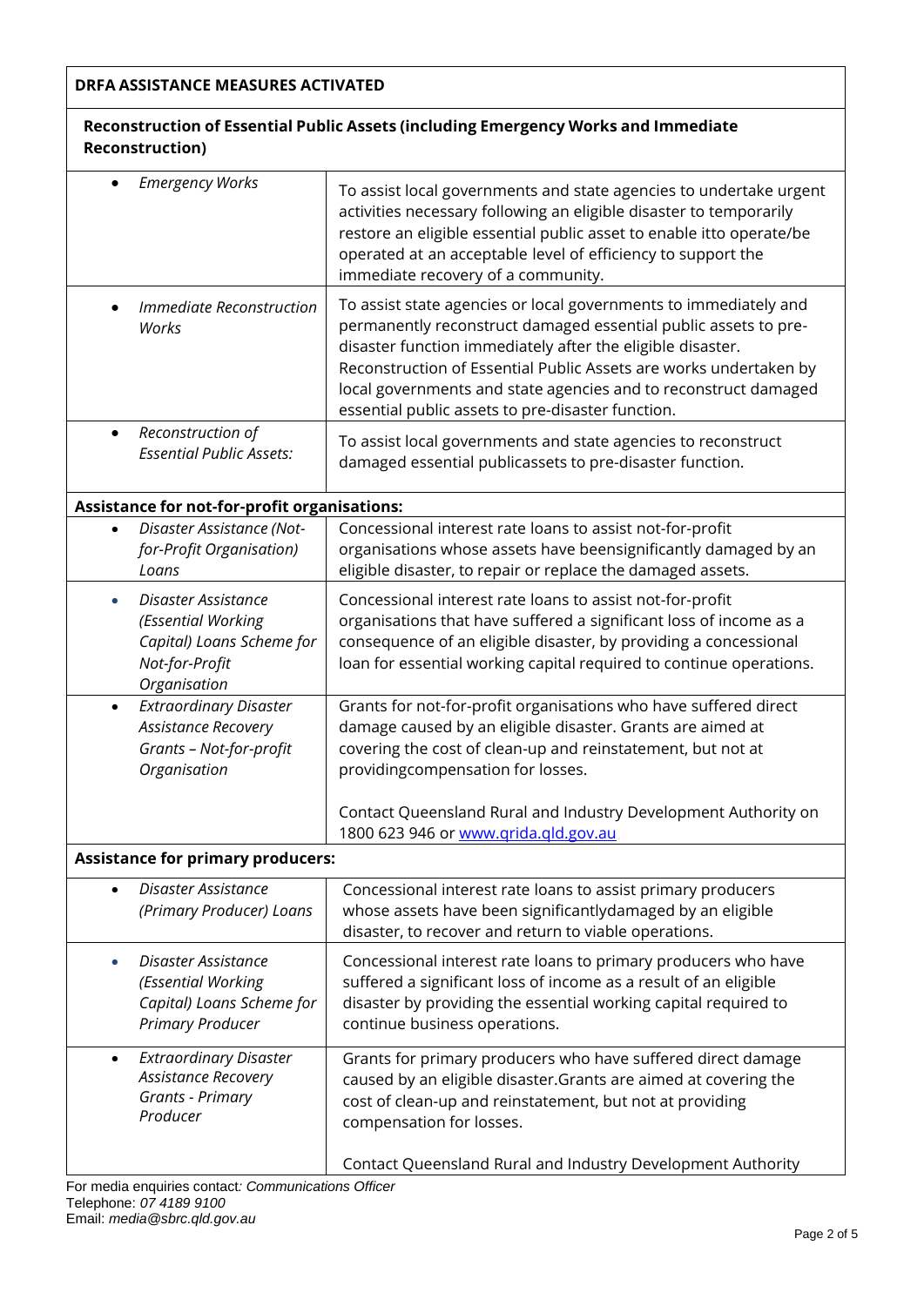## **DRFA ASSISTANCE MEASURES ACTIVATED**

# **Reconstruction of Essential Public Assets (including Emergency Works and Immediate Reconstruction)**

| <b>Emergency Works</b>                                                                                       | To assist local governments and state agencies to undertake urgent<br>activities necessary following an eligible disaster to temporarily<br>restore an eligible essential public asset to enable itto operate/be<br>operated at an acceptable level of efficiency to support the<br>immediate recovery of a community.                                                                         |
|--------------------------------------------------------------------------------------------------------------|------------------------------------------------------------------------------------------------------------------------------------------------------------------------------------------------------------------------------------------------------------------------------------------------------------------------------------------------------------------------------------------------|
| Immediate Reconstruction<br>Works                                                                            | To assist state agencies or local governments to immediately and<br>permanently reconstruct damaged essential public assets to pre-<br>disaster function immediately after the eligible disaster.<br>Reconstruction of Essential Public Assets are works undertaken by<br>local governments and state agencies and to reconstruct damaged<br>essential public assets to pre-disaster function. |
| Reconstruction of<br>$\bullet$<br><b>Essential Public Assets:</b>                                            | To assist local governments and state agencies to reconstruct<br>damaged essential publicassets to pre-disaster function.                                                                                                                                                                                                                                                                      |
| Assistance for not-for-profit organisations:                                                                 |                                                                                                                                                                                                                                                                                                                                                                                                |
| Disaster Assistance (Not-<br>for-Profit Organisation)<br>Loans                                               | Concessional interest rate loans to assist not-for-profit<br>organisations whose assets have beensignificantly damaged by an<br>eligible disaster, to repair or replace the damaged assets.                                                                                                                                                                                                    |
| Disaster Assistance<br>(Essential Working<br>Capital) Loans Scheme for<br>Not-for-Profit<br>Organisation     | Concessional interest rate loans to assist not-for-profit<br>organisations that have suffered a significant loss of income as a<br>consequence of an eligible disaster, by providing a concessional<br>loan for essential working capital required to continue operations.                                                                                                                     |
| <b>Extraordinary Disaster</b><br>$\bullet$<br>Assistance Recovery<br>Grants - Not-for-profit<br>Organisation | Grants for not-for-profit organisations who have suffered direct<br>damage caused by an eligible disaster. Grants are aimed at<br>covering the cost of clean-up and reinstatement, but not at<br>providingcompensation for losses.<br>Contact Queensland Rural and Industry Development Authority on<br>1800 623 946 or www.grida.gld.gov.au                                                   |
| <b>Assistance for primary producers:</b>                                                                     |                                                                                                                                                                                                                                                                                                                                                                                                |
| Disaster Assistance<br>$\bullet$<br>(Primary Producer) Loans                                                 | Concessional interest rate loans to assist primary producers<br>whose assets have been significantlydamaged by an eligible<br>disaster, to recover and return to viable operations.                                                                                                                                                                                                            |
| Disaster Assistance<br>(Essential Working<br>Capital) Loans Scheme for<br><b>Primary Producer</b>            | Concessional interest rate loans to primary producers who have<br>suffered a significant loss of income as a result of an eligible<br>disaster by providing the essential working capital required to<br>continue business operations.                                                                                                                                                         |
| <b>Extraordinary Disaster</b><br>$\bullet$<br>Assistance Recovery<br><b>Grants - Primary</b><br>Producer     | Grants for primary producers who have suffered direct damage<br>caused by an eligible disaster. Grants are aimed at covering the<br>cost of clean-up and reinstatement, but not at providing<br>compensation for losses.                                                                                                                                                                       |
|                                                                                                              | Contact Queensland Rural and Industry Development Authority                                                                                                                                                                                                                                                                                                                                    |

For media enquiries contact*: Communications Officer*  Telephone: *07 4189 9100* Email: *medi[a@sbrc.qld.gov.au](mailto:dosbourne@southburnett.qld.gov.au)*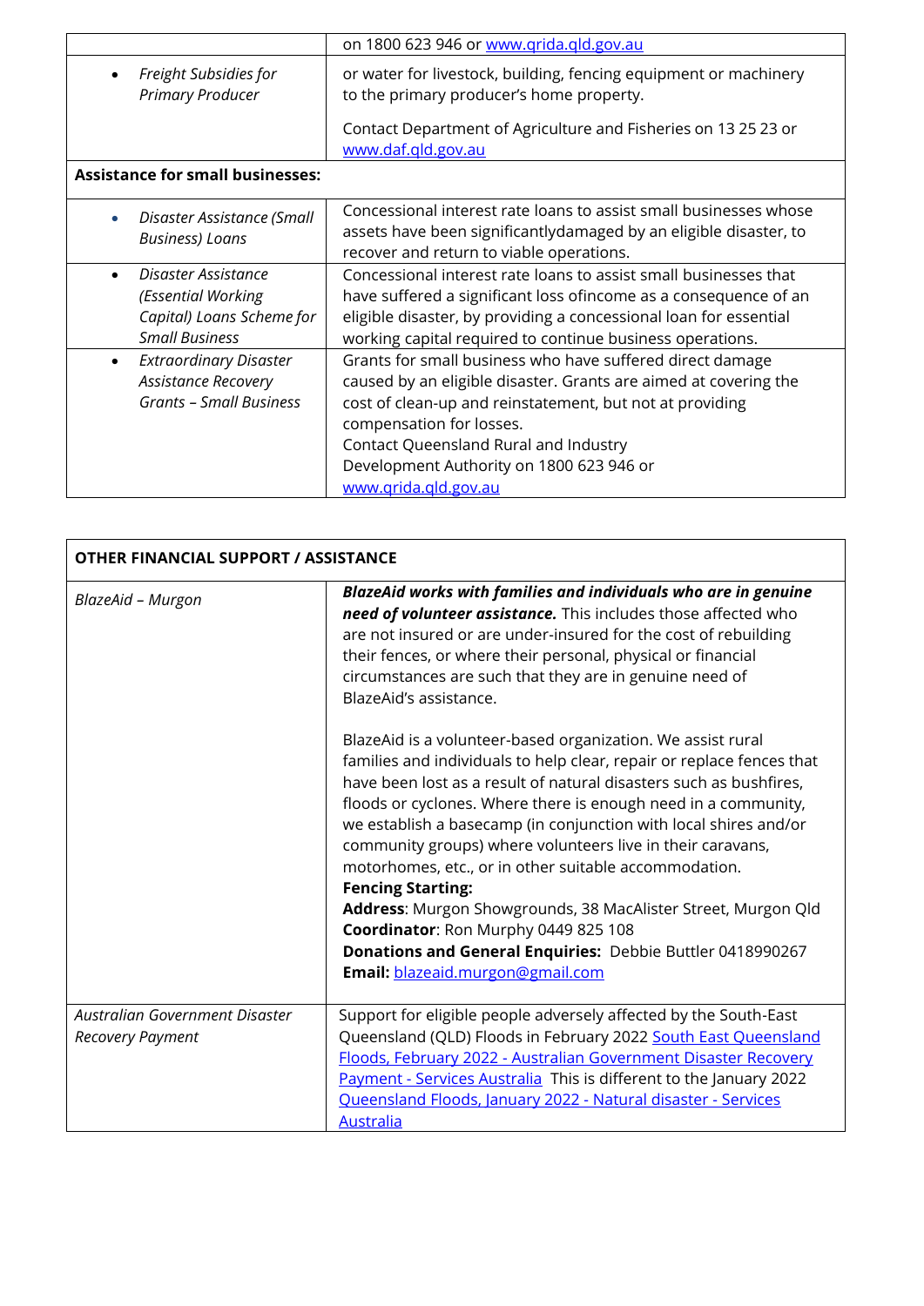|                                                                                                     | on 1800 623 946 or www.grida.gld.gov.au                                                                                                                                                                                                                                                                                            |
|-----------------------------------------------------------------------------------------------------|------------------------------------------------------------------------------------------------------------------------------------------------------------------------------------------------------------------------------------------------------------------------------------------------------------------------------------|
| Freight Subsidies for<br>$\bullet$<br><b>Primary Producer</b>                                       | or water for livestock, building, fencing equipment or machinery<br>to the primary producer's home property.                                                                                                                                                                                                                       |
|                                                                                                     | Contact Department of Agriculture and Fisheries on 132523 or<br>www.daf.gld.gov.au                                                                                                                                                                                                                                                 |
| <b>Assistance for small businesses:</b>                                                             |                                                                                                                                                                                                                                                                                                                                    |
| Disaster Assistance (Small<br><b>Business)</b> Loans                                                | Concessional interest rate loans to assist small businesses whose<br>assets have been significantlydamaged by an eligible disaster, to<br>recover and return to viable operations.                                                                                                                                                 |
| Disaster Assistance<br>(Essential Working<br>Capital) Loans Scheme for<br><b>Small Business</b>     | Concessional interest rate loans to assist small businesses that<br>have suffered a significant loss ofincome as a consequence of an<br>eligible disaster, by providing a concessional loan for essential<br>working capital required to continue business operations.                                                             |
| <b>Extraordinary Disaster</b><br>$\bullet$<br><b>Assistance Recovery</b><br>Grants - Small Business | Grants for small business who have suffered direct damage<br>caused by an eligible disaster. Grants are aimed at covering the<br>cost of clean-up and reinstatement, but not at providing<br>compensation for losses.<br>Contact Queensland Rural and Industry<br>Development Authority on 1800 623 946 or<br>www.grida.gld.gov.au |

| OTHER FINANCIAL SUPPORT / ASSISTANCE               |                                                                                                                                                                                                                                                                                                                                                                                                                                                                                                                                                                                                                                                                                                                                                                                                                                                                                                                                                                                                                                                                             |  |  |  |
|----------------------------------------------------|-----------------------------------------------------------------------------------------------------------------------------------------------------------------------------------------------------------------------------------------------------------------------------------------------------------------------------------------------------------------------------------------------------------------------------------------------------------------------------------------------------------------------------------------------------------------------------------------------------------------------------------------------------------------------------------------------------------------------------------------------------------------------------------------------------------------------------------------------------------------------------------------------------------------------------------------------------------------------------------------------------------------------------------------------------------------------------|--|--|--|
| BlazeAid - Murgon                                  | BlazeAid works with families and individuals who are in genuine<br>need of volunteer assistance. This includes those affected who<br>are not insured or are under-insured for the cost of rebuilding<br>their fences, or where their personal, physical or financial<br>circumstances are such that they are in genuine need of<br>BlazeAid's assistance.<br>BlazeAid is a volunteer-based organization. We assist rural<br>families and individuals to help clear, repair or replace fences that<br>have been lost as a result of natural disasters such as bushfires,<br>floods or cyclones. Where there is enough need in a community,<br>we establish a basecamp (in conjunction with local shires and/or<br>community groups) where volunteers live in their caravans,<br>motorhomes, etc., or in other suitable accommodation.<br><b>Fencing Starting:</b><br>Address: Murgon Showgrounds, 38 MacAlister Street, Murgon Qld<br>Coordinator: Ron Murphy 0449 825 108<br>Donations and General Enquiries: Debbie Buttler 0418990267<br>Email: blazeaid.murgon@gmail.com |  |  |  |
| Australian Government Disaster<br>Recovery Payment | Support for eligible people adversely affected by the South-East<br>Queensland (QLD) Floods in February 2022 South East Queensland<br>Floods, February 2022 - Australian Government Disaster Recovery<br>Payment - Services Australia This is different to the January 2022<br>Queensland Floods, January 2022 - Natural disaster - Services<br><b>Australia</b>                                                                                                                                                                                                                                                                                                                                                                                                                                                                                                                                                                                                                                                                                                            |  |  |  |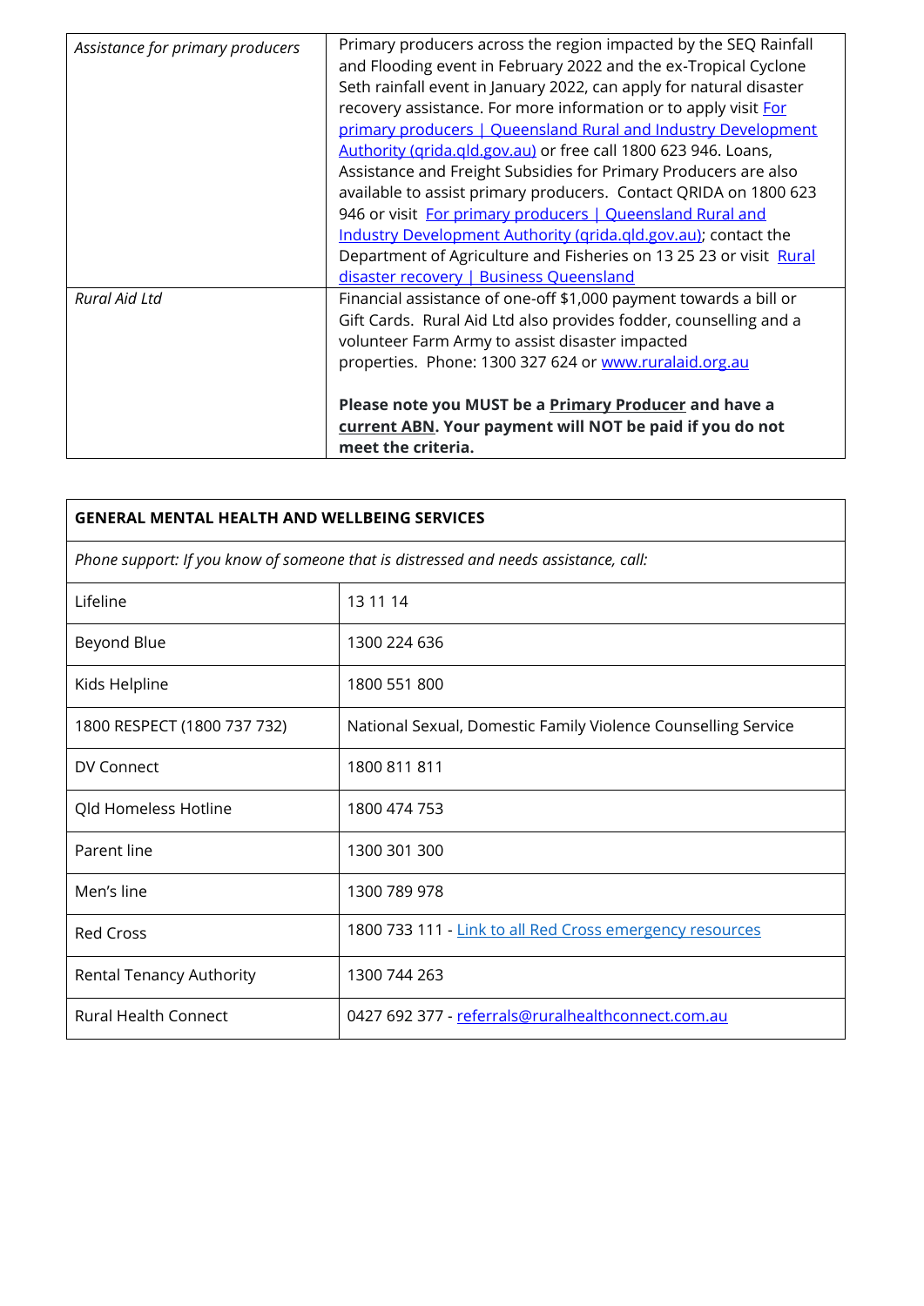| Assistance for primary producers | Primary producers across the region impacted by the SEQ Rainfall<br>and Flooding event in February 2022 and the ex-Tropical Cyclone<br>Seth rainfall event in January 2022, can apply for natural disaster<br>recovery assistance. For more information or to apply visit For<br>primary producers   Queensland Rural and Industry Development<br>Authority (grida.gld.gov.au) or free call 1800 623 946. Loans,<br>Assistance and Freight Subsidies for Primary Producers are also<br>available to assist primary producers. Contact QRIDA on 1800 623<br>946 or visit For primary producers   Queensland Rural and<br>Industry Development Authority (grida.gld.gov.au); contact the |
|----------------------------------|----------------------------------------------------------------------------------------------------------------------------------------------------------------------------------------------------------------------------------------------------------------------------------------------------------------------------------------------------------------------------------------------------------------------------------------------------------------------------------------------------------------------------------------------------------------------------------------------------------------------------------------------------------------------------------------|
|                                  | Department of Agriculture and Fisheries on 13 25 23 or visit Rural<br>disaster recovery   Business Queensland                                                                                                                                                                                                                                                                                                                                                                                                                                                                                                                                                                          |
| Rural Aid Ltd                    | Financial assistance of one-off \$1,000 payment towards a bill or<br>Gift Cards. Rural Aid Ltd also provides fodder, counselling and a<br>volunteer Farm Army to assist disaster impacted<br>properties. Phone: 1300 327 624 or www.ruralaid.org.au                                                                                                                                                                                                                                                                                                                                                                                                                                    |
|                                  | Please note you MUST be a Primary Producer and have a<br>current ABN. Your payment will NOT be paid if you do not<br>meet the criteria.                                                                                                                                                                                                                                                                                                                                                                                                                                                                                                                                                |

| <b>GENERAL MENTAL HEALTH AND WELLBEING SERVICES</b>                                  |                                                               |  |  |  |
|--------------------------------------------------------------------------------------|---------------------------------------------------------------|--|--|--|
| Phone support: If you know of someone that is distressed and needs assistance, call: |                                                               |  |  |  |
| Lifeline                                                                             | 13 11 14                                                      |  |  |  |
| Beyond Blue                                                                          | 1300 224 636                                                  |  |  |  |
| Kids Helpline                                                                        | 1800 551 800                                                  |  |  |  |
| 1800 RESPECT (1800 737 732)                                                          | National Sexual, Domestic Family Violence Counselling Service |  |  |  |
| DV Connect                                                                           | 1800 811 811                                                  |  |  |  |
| Qld Homeless Hotline                                                                 | 1800 474 753                                                  |  |  |  |
| Parent line                                                                          | 1300 301 300                                                  |  |  |  |
| Men's line                                                                           | 1300 789 978                                                  |  |  |  |
| <b>Red Cross</b>                                                                     | 1800 733 111 - Link to all Red Cross emergency resources      |  |  |  |
| Rental Tenancy Authority                                                             | 1300 744 263                                                  |  |  |  |
| <b>Rural Health Connect</b>                                                          | 0427 692 377 - referrals@ruralhealthconnect.com.au            |  |  |  |